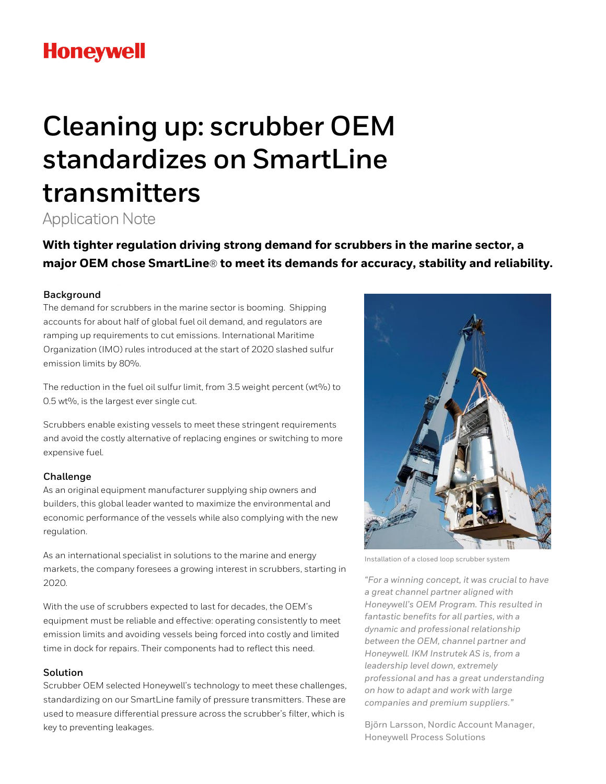# **Honeywell**

# **Cleaning up: scrubber OEM standardizes on SmartLine transmitters**

Application Note

**With tighter regulation driving strong demand for scrubbers in the marine sector, a major OEM chose SmartLine**® **to meet its demands for accuracy, stability and reliability.** 

## **Background**

The demand for scrubbers in the marine sector is booming. Shipping accounts for about half of global fuel oil demand, and regulators are ramping up requirements to cut emissions. International Maritime Organization (IMO) rules introduced at the start of 2020 slashed sulfur emission limits by 80%.

The reduction in the fuel oil sulfur limit, from 3.5 weight percent (wt%) to 0.5 wt%, is the largest ever single cut.

Scrubbers enable existing vessels to meet these stringent requirements and avoid the costly alternative of replacing engines or switching to more expensive fuel.

## **Challenge**

As an original equipment manufacturer supplying ship owners and builders, this global leader wanted to maximize the environmental and economic performance of the vessels while also complying with the new regulation.

As an international specialist in solutions to the marine and energy markets, the company foresees a growing interest in scrubbers, starting in 2020.

With the use of scrubbers expected to last for decades, the OEM's equipment must be reliable and effective: operating consistently to meet emission limits and avoiding vessels being forced into costly and limited time in dock for repairs. Their components had to reflect this need.

#### **Solution**

Scrubber OEM selected Honeywell's technology to meet these challenges, standardizing on our SmartLine family of pressure transmitters. These are used to measure differential pressure across the scrubber's filter, which is key to preventing leakages.



Installation of a closed loop scrubber system

"For a winning concept, it was crucial to have a great channel partner aligned with Honeywell's OEM Program. This resulted in fantastic benefits for all parties, with a dynamic and professional relationship between the OEM, channel partner and Honeywell. IKM Instrutek AS is, from a leadership level down, extremely professional and has a great understanding on how to adapt and work with large companies and premium suppliers."

Björn Larsson, Nordic Account Manager, Honeywell Process Solutions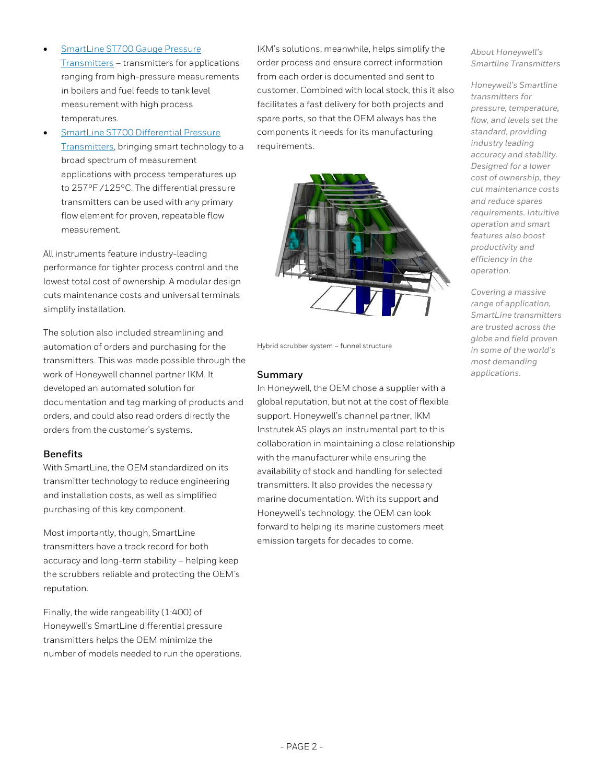- **SmartLine ST700 Gauge Pressure** [Transmitters](https://www.honeywellprocess.com/en-US/explore/products/instrumentation/pressure-transmitters/smartline-st-700/Pages/gauge-pressure-transmitters.aspx) – transmitters for applications ranging from high-pressure measurements in boilers and fuel feeds to tank level measurement with high process temperatures.
- [SmartLine ST700 Differential Pressure](https://www.honeywellprocess.com/en-US/explore/products/instrumentation/pressure-transmitters/smartline-st-700/Pages/differential-pressure-transmitter.aspx)  [Transmitters,](https://www.honeywellprocess.com/en-US/explore/products/instrumentation/pressure-transmitters/smartline-st-700/Pages/differential-pressure-transmitter.aspx) bringing smart technology to a broad spectrum of measurement applications with process temperatures up to 257°F /125°C. The differential pressure transmitters can be used with any primary flow element for proven, repeatable flow measurement.

All instruments feature industry-leading performance for tighter process control and the lowest total cost of ownership. A modular design cuts maintenance costs and universal terminals simplify installation.

The solution also included streamlining and automation of orders and purchasing for the transmitters. This was made possible through the work of Honeywell channel partner IKM. It developed an automated solution for documentation and tag marking of products and orders, and could also read orders directly the orders from the customer's systems.

#### **Benefits**

With SmartLine, the OEM standardized on its transmitter technology to reduce engineering and installation costs, as well as simplified purchasing of this key component.

Most importantly, though, SmartLine transmitters have a track record for both accuracy and long-term stability – helping keep the scrubbers reliable and protecting the OEM's reputation.

Finally, the wide rangeability (1:400) of Honeywell's SmartLine differential pressure transmitters helps the OEM minimize the number of models needed to run the operations. IKM's solutions, meanwhile, helps simplify the order process and ensure correct information from each order is documented and sent to customer. Combined with local stock, this it also facilitates a fast delivery for both projects and spare parts, so that the OEM always has the components it needs for its manufacturing requirements.



Hybrid scrubber system – funnel structure

#### **Summary**

In Honeywell, the OEM chose a supplier with a global reputation, but not at the cost of flexible support. Honeywell's channel partner, IKM Instrutek AS plays an instrumental part to this collaboration in maintaining a close relationship with the manufacturer while ensuring the availability of stock and handling for selected transmitters. It also provides the necessary marine documentation. With its support and Honeywell's technology, the OEM can look forward to helping its marine customers meet emission targets for decades to come.

About Honeywell's Smartline Transmitters

Honeywell's Smartline transmitters for pressure, temperature, flow, and levels set the standard, providing industry leading accuracy and stability. Designed for a lower cost of ownership, they cut maintenance costs and reduce spares requirements. Intuitive operation and smart features also boost productivity and efficiency in the operation.

Covering a massive range of application, SmartLine transmitters are trusted across the globe and field proven in some of the world's most demanding applications.